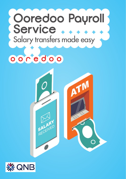# **Ooredoo Payroll** Service .... Salary transfers made easy

ooredoo



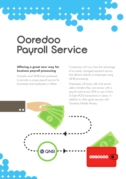# **Ooredoo Payroll Service**

### **Offering a great new way for business payroll processing**

Ooredoo and QNB have partnered to provide a unique payroll service for businesses and employees in Qatar.

Companies will now have the advantage of an easily managed payment service that delivers directly to employees using QNB processing.

Employees will enjoy safe and secure salary transfers they can access with a payroll card at any ATM or use in Point of Sale (POS) transactions in stores, in addition to other great services with

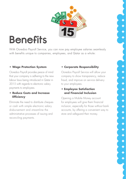

# **Benefits**

With Ooredoo Payroll Service, you can now pay employee salaries seamlessly with benefits unique to companies, employees, and Qatar as a whole:

## **• Wage Protection System**

Ooredoo Payroll provides peace of mind that your company is adhering to the new labour laws being introduced in Qatar in 2015 with regards to electronic salary payments to employees.

### **• Reduce Costs and Increase Efficiency**

Eliminate the need to distribute cheques or cash with simple electronic salary disbursement and streamline the administrative processes of issuing and reconciling payments.

## **• Corporate Responsibility**

Ooredoo Payroll Service will allow your company to show transparency, reduce fraud, and improve on service delivery to your employees.

### **• Employee Satisfaction and Financial Inclusion**

Opening a Mobile Money account for employees will give them financial inclusion, especially for those without bank accounts, by offering a convenient way to store and safeguard their money.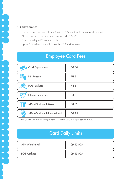#### **• Convenience**

\* \* \* \* \* \* \* \* \* \* \* \* \* \* \*

- The card can be used at any ATM or POS terminal in Qatar and beyond.
- PIN reissuance can be carried out on QNB ATM's
- 5 free monthly ATM withdrawals
- Up to 6 months statement printouts at Ooredoo store

# Employee Card Fees

| Card Replacement                 | QR 30       |
|----------------------------------|-------------|
| 9 E A<br>Ŧ<br><b>PIN Reissue</b> | <b>FREE</b> |
| POS Purchase                     | <b>FREE</b> |
| <b>Internet Purchases</b>        | <b>FREE</b> |
| ATM Withdrawal (Qatar)           | FREE*       |
| ATM Withdrawal (International)   | <b>QR15</b> |

\* Five (5) ATM withdrawals FREE per month. Thereafter, QR 3 is charged per withdrawal.

# Card Daily Limits

| ATM Withdrawal | QR 15,000 |
|----------------|-----------|
| POS Purchase   | QR 15,000 |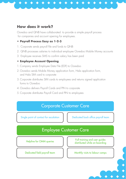# **How does it work?**

Ooredoo and QNB have collaborated to provide a simple payroll process for companies and account opening for employees.

### **• Payroll Process Easy as 1-2-3**

- 1. Corporate sends payroll file and funds to QNB
- 2. QNB processes salaries to individual employee Ooredoo Mobile Money accounts
- 3. Employee receives SMS to confirm salary has been paid

## **• Employee Account Opening**

- 1. Company sends Employee Data File (EDF) to Ooredoo
- 2. Ooredoo sends Mobile Money application form, Hala application form, and Hala SIM card to corporate
- 3. Corporate distributes SIM cards to employees and returns signed application forms to Ooredoo
- 4. Ooredoo delivers Payroll Cards and PIN to corporate
- 5. Corporate distributes Payroll Card and PIN to employees

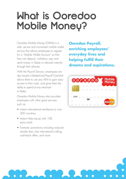# **What is Ooredoo Mobile Money?**

Ooredoo Mobile Money (OMM) is a safe, secure and convenient mobile wallet service that allows employees to register for a "Mobile Wallet Account" so that they can deposit, withdraw, pay and send money in Qatar or abroad instantly through their phones.

With the Payroll Service, employees are also issued a MasterCard Payroll Card that allows them to use any ATM to gain easy access to their cash, and gives them the ability to spend at any merchant in Qatar.

Ooredoo Mobile Money also provides employees with other great services such as:

- Instant international remittance to over 200 countries
- Instant Hala top-up with 10% extra credit
- Fantastic promotions including reduced transfer fees, free international calling, cash-back offers, and more

**Ooredoo Payroll, enriching employees' everyday lives and helping fulfill their dreams and aspirations.**



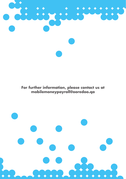

**For further information, please contact us at mobilemoneypayroll@ooredoo.qa**